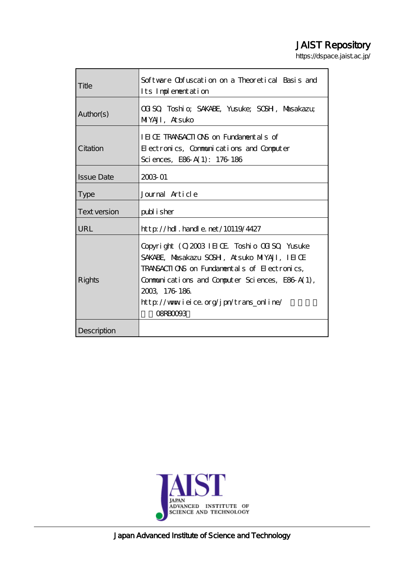# JAIST Repository

https://dspace.jaist.ac.jp/

| Title             | Software Obfuscation on a Theoretical Basis and<br>Its Implementation                                                                                                                                                                                                        |  |  |
|-------------------|------------------------------------------------------------------------------------------------------------------------------------------------------------------------------------------------------------------------------------------------------------------------------|--|--|
| Author(s)         | COISO, Toshi o; SAKABE, Yusuke; SOSH, Masakazu;<br>MIYAJI, Atsuko                                                                                                                                                                                                            |  |  |
| Citation          | IEICE TRANSACTIONS on Fundamentals of<br>Electronics, Communications and Computer<br>Sciences, E86 A(1): 176 186                                                                                                                                                             |  |  |
| <b>Issue Date</b> | 2003 01                                                                                                                                                                                                                                                                      |  |  |
| <b>Type</b>       | Journal Article                                                                                                                                                                                                                                                              |  |  |
| Text version      | publisher                                                                                                                                                                                                                                                                    |  |  |
| URL               | $http$ // $rdl$ . handle. net/10119/4427                                                                                                                                                                                                                                     |  |  |
| <b>Rights</b>     | Copyright (C) 2003 IEIOE Toshio OCISO, Yusuke<br>SAKABE, Masakazu SOSH, Atsuko MIYAJI, IEIOE<br>TRANSACTIONS on Fundamentals of Electronics,<br>Communications and Computer Sciences, E86 A(1),<br>2003 176 186<br>http://www.ieice.org/jpn/trans_online/<br><b>OSRBOOGS</b> |  |  |
| Description       |                                                                                                                                                                                                                                                                              |  |  |



Japan Advanced Institute of Science and Technology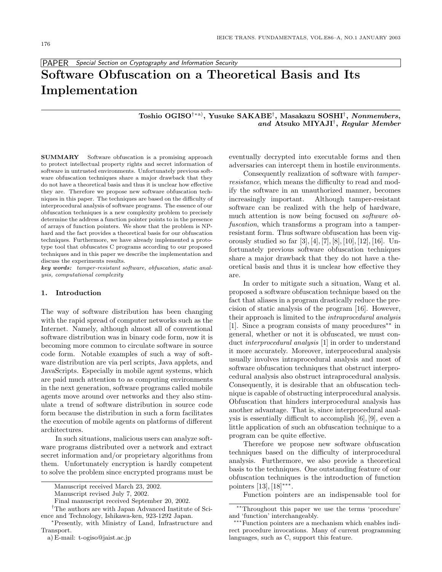PAPER *Special Section on Cryptography and Information Security*

# **Software Obfuscation on a Theoretical Basis and Its Implementation**

# **Toshio OGISO**†∗a)**, Yusuke SAKABE**†**, Masakazu SOSHI**†**,** *Nonmembers***,** *and* **Atsuko MIYAJI**†**,** *Regular Member*

**SUMMARY** Software obfuscation is a promising approach to protect intellectual property rights and secret information of software in untrusted environments. Unfortunately previous software obfuscation techniques share a major drawback that they do not have a theoretical basis and thus it is unclear how effective they are. Therefore we propose new software obfuscation techniques in this paper. The techniques are based on the difficulty of interprocedural analysis of software programs. The essence of our obfuscation techniques is a new complexity problem to precisely determine the address a function pointer points to in the presence of arrays of function pointers. We show that the problem is NPhard and the fact provides a theoretical basis for our obfuscation techniques. Furthermore, we have already implemented a prototype tool that obfuscates C programs according to our proposed techniques and in this paper we describe the implementation and discuss the experiments results.

*key words: tamper-resistant software, obfuscation, static analysis, computational complexity*

# **1. Introduction**

The way of software distribution has been changing with the rapid spread of computer networks such as the Internet. Namely, although almost all of conventional software distribution was in binary code form, now it is becoming more common to circulate software in source code form. Notable examples of such a way of software distribution are via perl scripts, Java applets, and JavaScripts. Especially in mobile agent systems, which are paid much attention to as computing environments in the next generation, software programs called mobile agents move around over networks and they also stimulate a trend of software distribution in source code form because the distribution in such a form facilitates the execution of mobile agents on platforms of different architectures.

In such situations, malicious users can analyze software programs distributed over a network and extract secret information and/or proprietary algorithms from them. Unfortunately encryption is hardly competent to solve the problem since encrypted programs must be

a) E-mail: t-ogiso@jaist.ac.jp

eventually decrypted into executable forms and then adversaries can intercept them in hostile environments.

Consequently realization of software with *tamperresistance*, which means the difficulty to read and modify the software in an unauthorized manner, becomes increasingly important. Although tamper-resistant software can be realized with the help of hardware, much attention is now being focused on *software obfuscation*, which transforms a program into a tamperresistant form. Thus software obfuscation has been vigorously studied so far  $[3], [4], [7], [8], [10], [12], [16]$ . Unfortunately previous software obfuscation techniques share a major drawback that they do not have a theoretical basis and thus it is unclear how effective they are.

In order to mitigate such a situation, Wang et al. proposed a software obfuscation technique based on the fact that aliases in a program drastically reduce the precision of static analysis of the program [16]. However, their approach is limited to the *intraprocedural analysis* [1]. Since a program consists of many procedures∗∗ in general, whether or not it is obfuscated, we must conduct *interprocedural analysis* [1] in order to understand it more accurately. Moreover, interprocedural analysis usually involves intraprocedural analysis and most of software obfuscation techniques that obstruct interprocedural analysis also obstruct intraprocedural analysis. Consequently, it is desirable that an obfuscation technique is capable of obstructing interprocedural analysis. Obfuscation that hinders interprocedural analysis has another advantage. That is, since interprocedural analysis is essentially difficult to accomplish [6], [9], even a little application of such an obfuscation technique to a program can be quite effective.

Therefore we propose new software obfuscation techniques based on the difficulty of interprocedural analysis. Furthermore, we also provide a theoretical basis to the techniques. One outstanding feature of our obfuscation techniques is the introduction of function pointers [13], [18]∗∗∗.

Function pointers are an indispensable tool for

Manuscript received March 23, 2002.

Manuscript revised July 7, 2002.

Final manuscript received September 20, 2002.

<sup>†</sup>The authors are with Japan Advanced Institute of Science and Technology, Ishikawa-ken, 923-1292 Japan.

<sup>∗</sup>Presently, with Ministry of Land, Infrastructure and Transport.

<sup>∗∗</sup>Throughout this paper we use the terms 'procedure' and 'function' interchangeably.

<sup>∗∗∗</sup>Function pointers are a mechanism which enables indirect procedure invocations. Many of current programming languages, such as C, support this feature.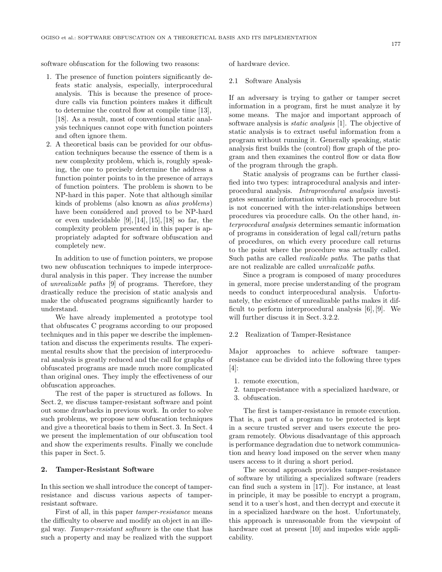software obfuscation for the following two reasons:

- 1. The presence of function pointers significantly defeats static analysis, especially, interprocedural analysis. This is because the presence of procedure calls via function pointers makes it difficult to determine the control flow at compile time [13], [18]. As a result, most of conventional static analysis techniques cannot cope with function pointers and often ignore them.
- 2. A theoretical basis can be provided for our obfuscation techniques because the essence of them is a new complexity problem, which is, roughly speaking, the one to precisely determine the address a function pointer points to in the presence of arrays of function pointers. The problem is shown to be NP-hard in this paper. Note that although similar kinds of problems (also known as *alias problems*) have been considered and proved to be NP-hard or even undecidable  $[9], [14], [15], [18]$  so far, the complexity problem presented in this paper is appropriately adapted for software obfuscation and completely new.

In addition to use of function pointers, we propose two new obfuscation techniques to impede interprocedural analysis in this paper. They increase the number of *unrealizable paths* [9] of programs. Therefore, they drastically reduce the precision of static analysis and make the obfuscated programs significantly harder to understand.

We have already implemented a prototype tool that obfuscates C programs according to our proposed techniques and in this paper we describe the implementation and discuss the experiments results. The experimental results show that the precision of interprocedural analysis is greatly reduced and the call for graphs of obfuscated programs are made much more complicated than original ones. They imply the effectiveness of our obfuscation approaches.

The rest of the paper is structured as follows. In Sect. 2, we discuss tamper-resistant software and point out some drawbacks in previous work. In order to solve such problems, we propose new obfuscation techniques and give a theoretical basis to them in Sect. 3. In Sect. 4 we present the implementation of our obfuscation tool and show the experiments results. Finally we conclude this paper in Sect. 5.

# **2. Tamper-Resistant Software**

In this section we shall introduce the concept of tamperresistance and discuss various aspects of tamperresistant software.

First of all, in this paper *tamper-resistance* means the difficulty to observe and modify an object in an illegal way. *Tamper-resistant software* is the one that has such a property and may be realized with the support

of hardware device.

#### 2.1 Software Analysis

If an adversary is trying to gather or tamper secret information in a program, first he must analyze it by some means. The major and important approach of software analysis is *static analysis* [1]. The objective of static analysis is to extract useful information from a program without running it. Generally speaking, static analysis first builds the (control) flow graph of the program and then examines the control flow or data flow of the program through the graph.

Static analysis of programs can be further classified into two types: intraprocedural analysis and interprocedural analysis. *Intraprocedural analysis* investigates semantic information within each procedure but is not concerned with the inter-relationships between procedures via procedure calls. On the other hand, *interprocedural analysis* determines semantic information of programs in consideration of legal call/return paths of procedures, on which every procedure call returns to the point where the procedure was actually called. Such paths are called *realizable paths*. The paths that are not realizable are called *unrealizable paths*.

Since a program is composed of many procedures in general, more precise understanding of the program needs to conduct interprocedural analysis. Unfortunately, the existence of unrealizable paths makes it difficult to perform interprocedural analysis [6], [9]. We will further discuss it in Sect. 3.2.2.

#### 2.2 Realization of Tamper-Resistance

Major approaches to achieve software tamperresistance can be divided into the following three types [4]:

- 1. remote execution,
- 2. tamper-resistance with a specialized hardware, or
- 3. obfuscation.

The first is tamper-resistance in remote execution. That is, a part of a program to be protected is kept in a secure trusted server and users execute the program remotely. Obvious disadvantage of this approach is performance degradation due to network communication and heavy load imposed on the server when many users access to it during a short period.

The second approach provides tamper-resistance of software by utilizing a specialized software (readers can find such a system in [17]). For instance, at least in principle, it may be possible to encrypt a program, send it to a user's host, and then decrypt and execute it in a specialized hardware on the host. Unfortunately, this approach is unreasonable from the viewpoint of hardware cost at present [10] and impedes wide applicability.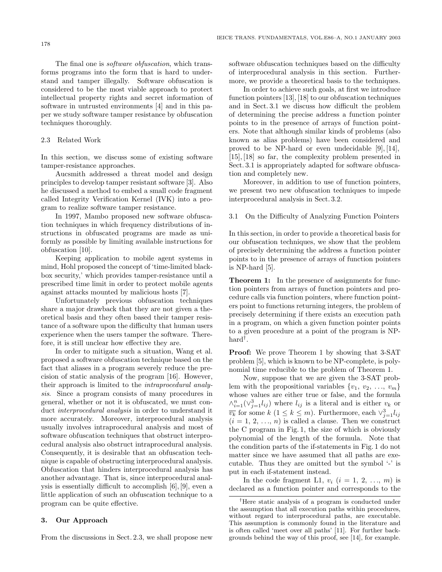The final one is *software obfuscation*, which transforms programs into the form that is hard to understand and tamper illegally. Software obfuscation is considered to be the most viable approach to protect intellectual property rights and secret information of software in untrusted environments [4] and in this paper we study software tamper resistance by obfuscation techniques thoroughly.

# 2.3 Related Work

In this section, we discuss some of existing software tamper-resistance approaches.

Aucsmith addressed a threat model and design principles to develop tamper resistant software [3]. Also he discussed a method to embed a small code fragment called Integrity Verification Kernel (IVK) into a program to realize software tamper resistance.

In 1997, Mambo proposed new software obfuscation techniques in which frequency distributions of instructions in obfuscated programs are made as uniformly as possible by limiting available instructions for obfuscation [10].

Keeping application to mobile agent systems in mind, Hohl proposed the concept of 'time-limited blackbox security,' which provides tamper-resistance until a prescribed time limit in order to protect mobile agents against attacks mounted by malicious hosts [7].

Unfortunately previous obfuscation techniques share a major drawback that they are not given a theoretical basis and they often based their tamper resistance of a software upon the difficulty that human users experience when the users tamper the software. Therefore, it is still unclear how effective they are.

In order to mitigate such a situation, Wang et al. proposed a software obfuscation technique based on the fact that aliases in a program severely reduce the precision of static analysis of the program [16]. However, their approach is limited to the *intraprocedural analysis*. Since a program consists of many procedures in general, whether or not it is obfuscated, we must conduct *interprocedural analysis* in order to understand it more accurately. Moreover, interprocedural analysis usually involves intraprocedural analysis and most of software obfuscation techniques that obstruct interprocedural analysis also obstruct intraprocedural analysis. Consequently, it is desirable that an obfuscation technique is capable of obstructing interprocedural analysis. Obfuscation that hinders interprocedural analysis has another advantage. That is, since interprocedural analysis is essentially difficult to accomplish [6], [9], even a little application of such an obfuscation technique to a program can be quite effective.

# **3. Our Approach**

From the discussions in Sect. 2.3, we shall propose new

software obfuscation techniques based on the difficulty of interprocedural analysis in this section. Furthermore, we provide a theoretical basis to the techniques.

In order to achieve such goals, at first we introduce function pointers [13], [18] to our obfuscation techniques and in Sect. 3.1 we discuss how difficult the problem of determining the precise address a function pointer points to in the presence of arrays of function pointers. Note that although similar kinds of problems (also known as alias problems) have been considered and proved to be NP-hard or even undecidable [9], [14], [15], [18] so far, the complexity problem presented in Sect. 3.1 is appropriately adapted for software obfuscation and completely new.

Moreover, in addition to use of function pointers, we present two new obfuscation techniques to impede interprocedural analysis in Sect. 3.2.

### 3.1 On the Difficulty of Analyzing Function Pointers

In this section, in order to provide a theoretical basis for our obfuscation techniques, we show that the problem of precisely determining the address a function pointer points to in the presence of arrays of function pointers is NP-hard [5].

**Theorem 1:** In the presence of assignments for function pointers from arrays of function pointers and procedure calls via function pointers, where function pointers point to functions returning integers, the problem of precisely determining if there exists an execution path in a program, on which a given function pointer points to a given procedure at a point of the program is NPhard†.

**Proof:** We prove Theorem 1 by showing that 3-SAT problem [5], which is known to be NP-complete, is polynomial time reducible to the problem of Theorem 1.

Now, suppose that we are given the 3-SAT problem with the propositional variables  $\{v_1, v_2, \ldots, v_m\}$ whose values are either true or false, and the formula  $\wedge_{i=1}^{n}(\vee_{j=1}^{3}l_{ij})$  where  $l_{ij}$  is a literal and is either  $v_k$  or  $\overline{v_k}$  for some  $k$  (1 ≤  $k \leq m$ ). Furthermore, each  $\vee_{j=1}^3 l_{ij}$  $(i = 1, 2, \ldots, n)$  is called a clause. Then we construct the C program in Fig. 1, the size of which is obviously polynomial of the length of the formula. Note that the condition parts of the if-statements in Fig. 1 do not matter since we have assumed that all paths are executable. Thus they are omitted but the symbol '-' is put in each if-statement instead.

In the code fragment L1,  $v_i$   $(i = 1, 2, ..., m)$  is declared as a function pointer and corresponds to the

<sup>†</sup>Here static analysis of a program is conducted under the assumption that all execution paths within procedures, without regard to interprocedural paths, are executable. This assumption is commonly found in the literature and is often called 'meet over all paths' [11]. For further backgrounds behind the way of this proof, see [14], for example.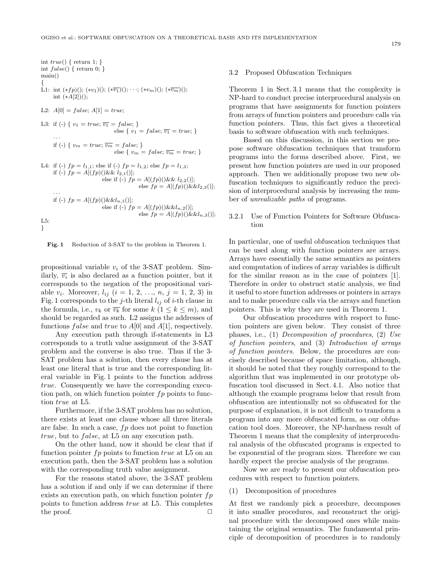int 
$$
true()
$$
 { return 1; }  
\nint  $false()$  { return 0; }  
\nmain() {  
\nL1: int (\* $fp$ )(); (\* $v_1$ )(); (\* $\overline{v_1}$ )(); \*\* $v_m$ )(); (\* $\overline{v_m}$ )();  
\nint (\* $A[2]$ )();  
\nL2:  $A[0] = false$ ;  $A[1] = true$ ;  
\nL3: if (-) {  $v_1 = true$ ;  $\overline{v_1} = false$ ; }  
\nelse {  $v_1 = false$ ;  $\overline{v_1} = true$ ; }  
\n...  
\nif (-) {  $v_m = true$ ;  $\overline{v_m} = false$ ; }  
\nelse {  $v_m = false$ ;  $\overline{v_m} = true$ ; }  
\nL4: if (-)  $fp = l_{1,1}$ ; else if (-)  $fp = l_{1,2}$ ; else  $fp = l_{1,3}$ ;  
\nif (-)  $fp = A[(fp])(\&& l_{2,1}()]$ ;  
\nelse if (-)  $fp = A[(fp)(\&& l_{2,2}()]$ ;  
\n...  
\nif (-)  $fp = A[(fp)(\&& l_{2,1}()]$ ;  
\nelse if (-)  $fp = A[(fp)(\&& l_{2,2}()]$ ;  
\nelse if (-)  $fp = A[(fp)(\&& l_{n,2}()]$ ;  
\nelse if (-)  $fp = A[(fp)(\&& l_{n,2}()]$ ;  
\nelse if (-)  $fp = A[(fp)(\&& l_{n,2}()]$ ;  
\nelse  $fp = A[(fp)(\&& l_{n,3}()]$ ;  
\nL5:

**Fig. 1** Reduction of 3-SAT to the problem in Theorem 1.

propositional variable *v<sup>i</sup>* of the 3-SAT problem. Similarly,  $\overline{v_i}$  is also declared as a function pointer, but it corresponds to the negation of the propositional variable  $v_i$ . Moreover,  $l_{ij}$  ( $i = 1, 2, ..., n, j = 1, 2, 3$ ) in Fig. 1 corresponds to the *j*-th literal  $l_{ij}$  of *i*-th clause in the formula, i.e.,  $v_k$  or  $\overline{v_k}$  for some  $k$  ( $1 \leq k \leq m$ ), and should be regarded as such. L2 assigns the addresses of functions *false* and *true* to *A*[0] and *A*[1], respectively.

Any execution path through if-statements in L3 corresponds to a truth value assignment of the 3-SAT problem and the converse is also true. Thus if the 3- SAT problem has a solution, then every clause has at least one literal that is true and the corresponding literal variable in Fig. 1 points to the function address *true*. Consequently we have the corresponding execution path, on which function pointer  $fp$  points to function *true* at L5.

Furthermore, if the 3-SAT problem has no solution, there exists at least one clause whose all three literals are false. In such a case, *f p* does not point to function *true*, but to *false*, at L5 on any execution path.

On the other hand, now it should be clear that if function pointer *fp* points to function *true* at L5 on an execution path, then the 3-SAT problem has a solution with the corresponding truth value assignment.

For the reasons stated above, the 3-SAT problem has a solution if and only if we can determine if there exists an execution path, on which function pointer  $fp$ points to function address *true* at L5. This completes the proof.  $\Box$ 

## 3.2 Proposed Obfuscation Techniques

Theorem 1 in Sect. 3.1 means that the complexity is NP-hard to conduct precise interprocedural analysis on programs that have assignments for function pointers from arrays of function pointers and procedure calls via function pointers. Thus, this fact gives a theoretical basis to software obfuscation with such techniques.

Based on this discussion, in this section we propose software obfuscation techniques that transform programs into the forms described above. First, we present how function pointers are used in our proposed approach. Then we additionally propose two new obfuscation techniques to significantly reduce the precision of interprocedural analysis by increasing the number of *unrealizable paths* of programs.

# 3.2.1 Use of Function Pointers for Software Obfuscation

In particular, one of useful obfuscation techniques that can be used along with function pointers are arrays. Arrays have essentially the same semantics as pointers and computation of indices of array variables is difficult for the similar reason as in the case of pointers [1]. Therefore in order to obstruct static analysis, we find it useful to store function addresses or pointers in arrays and to make procedure calls via the arrays and function pointers. This is why they are used in Theorem 1.

Our obfuscation procedures with respect to function pointers are given below. They consist of three phases, i.e., (1) *Decomposition of procedures*, (2) *Use of function pointers*, and (3) *Introduction of arrays of function pointers*. Below, the procedures are concisely described because of space limitation, although, it should be noted that they roughly correspond to the algorithm that was implemented in our prototype obfuscation tool discussed in Sect. 4.1. Also notice that although the example programs below that result from obfuscation are intentionally not so obfuscated for the purpose of explanation, it is not difficult to transform a program into any more obfuscated form, as our obfuscation tool does. Moreover, the NP-hardness result of Theorem 1 means that the complexity of interprocedural analysis of the obfuscated programs is expected to be exponential of the program sizes. Therefore we can hardly expect the precise analysis of the programs.

Now we are ready to present our obfuscation procedures with respect to function pointers.

(1) Decomposition of procedures

At first we randomly pick a procedure, decomposes it into smaller procedures, and reconstruct the original procedure with the decomposed ones while maintaining the original semantics. The fundamental principle of decomposition of procedures is to randomly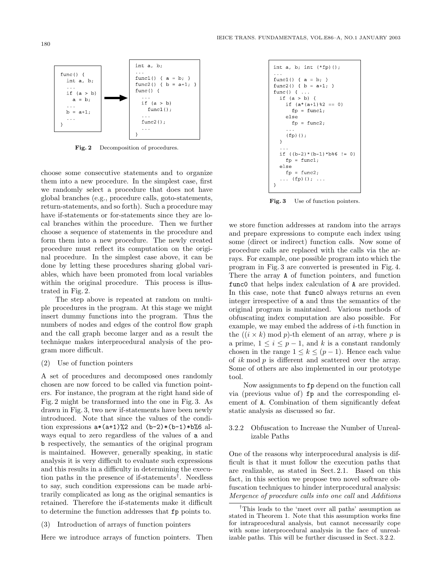

int a, b:

 $func() \{$ 

func1() {  $a = b$ ; }

if  $(a > b)$ 

 $func2()$ ;

 ${\tt func1}$  ( )  $\,$ 

func2() {  $b = a+1$ ; }

Fig. 2 Decomposition of procedures.

choose some consecutive statements and to organize them into a new procedure. In the simplest case, first we randomly select a procedure that does not have global branches (e.g., procedure calls, goto-statements, return-statements, and so forth). Such a procedure may have if-statements or for-statements since they are local branches within the procedure. Then we further choose a sequence of statements in the procedure and form them into a new procedure. The newly created procedure must reflect its computation on the original procedure. In the simplest case above, it can be done by letting these procedures sharing global variables, which have been promoted from local variables within the original procedure. This process is illustrated in Fig. 2.

The step above is repeated at random on multiple procedures in the program. At this stage we might insert dummy functions into the program. Thus the numbers of nodes and edges of the control flow graph and the call graph become larger and as a result the technique makes interprocedural analysis of the program more difficult.

#### (2) Use of function pointers

A set of procedures and decomposed ones randomly chosen are now forced to be called via function pointers. For instance, the program at the right hand side of Fig. 2 might be transformed into the one in Fig. 3. As drawn in Fig. 3, two new if-statements have been newly introduced. Note that since the values of the condition expressions  $a*(a+1)\%2$  and  $(b-2)*(b-1)*b\%6$  always equal to zero regardless of the values of a and b respectively, the semantics of the original program is maintained. However, generally speaking, in static analysis it is very difficult to evaluate such expressions and this results in a difficulty in determining the execution paths in the presence of if-statements†. Needless to say, such condition expressions can be made arbitrarily complicated as long as the original semantics is retained. Therefore the if-statements make it difficult to determine the function addresses that fp points to.

Here we introduce arrays of function pointers. Then

```
int a, b; int (*fp) ();
\ddotscfunc1() { a = b; }
func2() { b = a+1; }
func() { \ldotsif (a > b) {
     if (a*(a+1)*2 == 0)f_{\mathcal{D}} = func1;
      else
        f_{\text{D}} = func2;
      \left( \, \mathrm{fp} \right) ( ) ;
   \overline{\mathcal{X}}if ((b-2)*(b-1)*b%6 != 0)fp = func1;else
     fp = func2;(fp) (); ...
```
**Fig. 3** Use of function pointers.

we store function addresses at random into the arrays and prepare expressions to compute each index using some (direct or indirect) function calls. Now some of procedure calls are replaced with the calls via the arrays. For example, one possible program into which the program in Fig. 3 are converted is presented in Fig. 4. There the array A of function pointers, and function func0 that helps index calculation of A are provided. In this case, note that func0 always returns an even integer irrespective of a and thus the semantics of the original program is maintained. Various methods of obfuscating index computation are also possible. For example, we may embed the address of *i*-th function in the  $((i \times k) \mod p)$ -th element of an array, where p is a prime,  $1 \leq i \leq p-1$ , and *k* is a constant randomly chosen in the range  $1 \leq k \leq (p-1)$ . Hence each value of *ik* mod *p* is different and scattered over the array. Some of others are also implemented in our prototype tool.

Now assignments to fp depend on the function call via (previous value of) fp and the corresponding element of A. Combination of them significantly defeat static analysis as discussed so far.

# 3.2.2 Obfuscation to Increase the Number of Unrealizable Paths

One of the reasons why interprocedural analysis is difficult is that it must follow the execution paths that are realizable, as stated in Sect. 2.1. Based on this fact, in this section we propose two novel software obfuscation techniques to hinder interprocedural analysis: *Mergence of procedure calls into one call* and *Additions*

 $func() f$ 

 $\sim$ 

 $\sim$   $\sim$ 

 $\mathcal{E}$ 

int a, b;

if  $(a > b)$ 

 $a = b;$ 

 $b = a+1;$ 

<sup>(3)</sup> Introduction of arrays of function pointers

<sup>†</sup>This leads to the 'meet over all paths' assumption as stated in Theorem 1. Note that this assumption works fine for intraprocedural analysis, but cannot necessarily cope with some interprocedural analysis in the face of unrealizable paths. This will be further discussed in Sect. 3.2.2.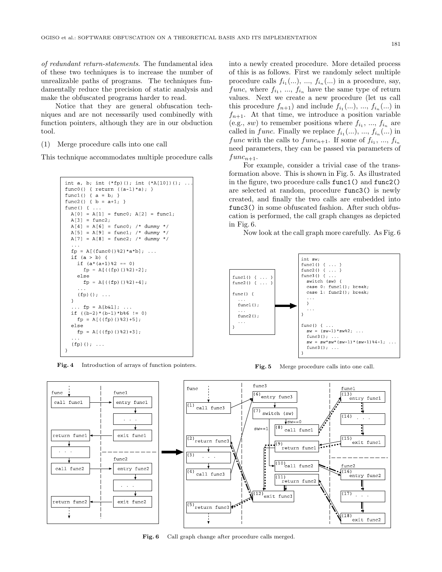*of redundant return-statements*. The fundamental idea of these two techniques is to increase the number of unrealizable paths of programs. The techniques fundamentally reduce the precision of static analysis and make the obfuscated programs harder to read.

Notice that they are general obfuscation techniques and are not necessarily used combinedly with function pointers, although they are in our obduction tool.

(1) Merge procedure calls into one call

This technique accommodates multiple procedure calls

```
int a, b; int (*fp)(; int (*A[10])();
func0() { return ((a-1)*a);func1() { a = b; }
func2() { b = a+1; }
func() { \ldotsA[0] = A[1] = func0; A[2] = func1;A[3] = func2;A[4] = A[6] = func0; /* dummy */
  A[5] = A[9] = func1; /* dummy */
  A[7] = A[8] = func2; /* dummy */
  fp = A[(func0() %2) *a*b]; ...
  if (a > b) {
    if (a*(a+1)*2 == 0){\rm fp}\ =\ {\rm A}[\ (\ ({\rm fp})\ ()\,\$2\,)+2]\ ;else
      fp = A[ ((fp) () %2) +4];
    (fp)(); ...
  \lambda... fp = A[b&1]; ...if ((b-2)*(b-1)*b%6 != 0)fp = A[ ((fp) () %2) +5];
  else
    fp = A[ ((fp) () $2) +3];
  (fp)(\cdot); ...
```
**Fig. 4** Introduction of arrays of function pointers.

into a newly created procedure. More detailed process of this is as follows. First we randomly select multiple procedure calls  $f_{i_1}(\ldots), \ldots, f_{i_n}(\ldots)$  in a procedure, say, *func*, where  $f_{i_1}, \ldots, f_{i_n}$  have the same type of return values. Next we create a new procedure (let us call this procedure  $f_{n+1}$ ) and include  $f_{i_1}(\ldots), ..., f_{i_n}(\ldots)$  in  $f_{n+1}$ . At that time, we introduce a position variable (e.g., *sw*) to remember positions where  $f_{i_1}, ..., f_{i_n}$  are called in *func*. Finally we replace  $f_{i_1}(\ldots), ..., f_{i_n}(\ldots)$  in *func* with the calls to *func*<sub>*n*+1</sub>. If some of  $f_i$ , ...,  $f_{i_n}$ need parameters, they can be passed via parameters of  $func_{n+1}$ .

For example, consider a trivial case of the transformation above. This is shown in Fig. 5. As illustrated in the figure, two procedure calls func1() and func2() are selected at random, procedure func3() is newly created, and finally the two calls are embedded into func3() in some obfuscated fashion. After such obfuscation is performed, the call graph changes as depicted in Fig. 6.

Now look at the call graph more carefully. As Fig. 6



**Fig. 5** Merge procedure calls into one call.



**Fig. 6** Call graph change after procedure calls merged.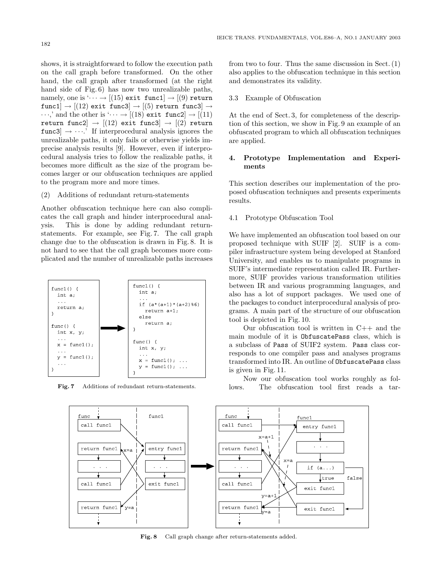shows, it is straightforward to follow the execution path on the call graph before transformed. On the other hand, the call graph after transformed (at the right hand side of Fig. 6) has now two unrealizable paths, namely, one is  $\cdots \rightarrow [(15) \text{ exit } \text{ func1}] \rightarrow [(9) \text{ return}]$ func1  $\rightarrow$  [(12) exit func3  $\rightarrow$  [(5) return func3  $\rightarrow$  $\cdots$ ,' and the other is  $\cdots \rightarrow [(18) \text{ exit } \text{ func2}] \rightarrow [(11)$ return func2 $|\rightarrow$  [(12) exit func3 $|\rightarrow$  [(2) return  $func3] \rightarrow \cdots$ . If interprocedural analysis ignores the unrealizable paths, it only fails or otherwise yields imprecise analysis results [9]. However, even if interprocedural analysis tries to follow the realizable paths, it becomes more difficult as the size of the program becomes larger or our obfuscation techniques are applied to the program more and more times.

(2) Additions of redundant return-statements

Another obfuscation technique here can also complicates the call graph and hinder interprocedural analysis. This is done by adding redundant returnstatements. For example, see Fig. 7. The call graph change due to the obfuscation is drawn in Fig. 8. It is not hard to see that the call graph becomes more complicated and the number of unrealizable paths increases



**Fig. 7** Additions of redundant return-statements.

from two to four. Thus the same discussion in Sect. (1) also applies to the obfuscation technique in this section and demonstrates its validity.

# 3.3 Example of Obfuscation

At the end of Sect. 3, for completeness of the description of this section, we show in Fig. 9 an example of an obfuscated program to which all obfuscation techniques are applied.

# **4. Prototype Implementation and Experiments**

This section describes our implementation of the proposed obfuscation techniques and presents experiments results.

## 4.1 Prototype Obfuscation Tool

We have implemented an obfuscation tool based on our proposed technique with SUIF [2]. SUIF is a compiler infrastructure system being developed at Stanford University, and enables us to manipulate programs in SUIF's intermediate representation called IR. Furthermore, SUIF provides various transformation utilities between IR and various programming languages, and also has a lot of support packages. We used one of the packages to conduct interprocedural analysis of programs. A main part of the structure of our obfuscation tool is depicted in Fig. 10.

Our obfuscation tool is written in  $C++$  and the main module of it is ObfuscatePass class, which is a subclass of Pass of SUIF2 system. Pass class corresponds to one compiler pass and analyses programs transformed into IR. An outline of ObfuscatePass class is given in Fig. 11.

Now our obfuscation tool works roughly as follows. The obfuscation tool first reads a tar-



**Fig. 8** Call graph change after return-statements added.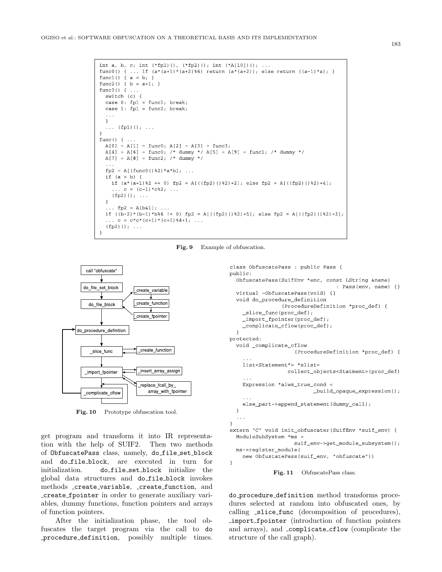```
int a, b, c; int (*fp1)(), (*fp2)(); int (*A[10])(); ...func0() { ... if (a*(a+1)*(a+2)*6) return (a*(a+2)); else return ((a-1)*a); }
func1() { a = b; }
func2() { b = a+1; }
func3() { \ldotsswitch (c) {
  case 0: fp1 = func1; break;
  case 1: fp1 = func2; break;\rightarrow\ldots (fp1)(); \ldots\rightarrowfunc() { ...A[0] = A[1] = func0; A[2] = A[3] = func3;A[4] = A[6] = func0; /* dummy */ A[5] = A[9] = func1; /* dummy */
  A[7] = A[8] = func2; /* dummy */
  fp2 = A[(func0() \$2) *a *b]; ...if (a > b) {
    if (a*(a+1)*2 == 0) fp2 = A[((fp2)()\2)+2]; else fp2 = A[((fp2)()\2)+4];
    ... c = (c-1) * c * 2; ...(fp2) (); ...
  \mathcal{F}... fp2 = A[b41]; ...if ((b-2)*(b-1)*b*6 != 0) fp2 = A[((fp2)(82)+5); else fp2 = A[((fp2)(82)+3);
  ... C = C * C * (C + 1) * (C + 1) * 4 + 1; ...(fp2) (); ...
\overline{\phantom{a}}
```
**Fig. 9** Example of obfuscation.



Fig. 10 Prototype obfuscation tool.

get program and transform it into IR representation with the help of SUIF2. Then two methods of ObfuscatePass class, namely, do file set block and do file block, are executed in turn for initialization. do file set block initialize the global data structures and do file block invokes methods create variable, create function, and create fpointer in order to generate auxiliary variables, dummy functions, function pointers and arrays of function pointers.

After the initialization phase, the tool obfuscates the target program via the call to do procedure definition, possibly multiple times.

```
class ObfuscatePass : public Pass {
public:
  ObfuscatePass(SuifEnv *enc, const LString &name)
                                    : Pass(env, name) {}
  virtual ~ObfuscatePass(void) {}
  void do_procedure_definition
                 (ProcedureDefinition *proc_def) {
    _slice_func(proc_def);
    _import_fpointer(proc_def);
    _complicate_cflow(proc_def);
  \rightarrowprotected:
  void _complicate_cflow
                      (ProcedureDefinition *proc def) {
    list<Statement*> *slist=
                   collect_objects<Statment>(proc_def)
    \sim \simExpression *alws_true_cond =
                            _build_opaque_expression();
    else_part->append_statement(dummy_call);
  \rightarrow\sim \sim \sim\mathcal{L}extern "C" void init_obfuscater(SuifEnv *suif_env) {
  ModuleSubSystem *ms =
                     suif_env->get_module_subsystem();
  ms->register_module(
    new ObfustatePass(suif_env, "obfuscate"))
\rightarrow
```


do procedure definition method transforms procedures selected at random into obfuscated ones, by calling slice func (decomposition of procedures), import fpointer (introduction of function pointers and arrays), and complicate cflow (complicate the structure of the call graph).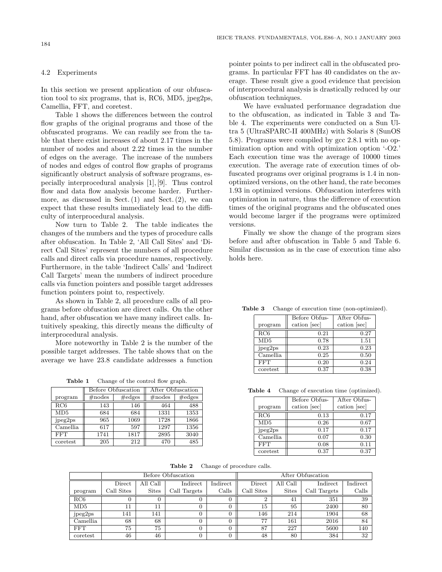## 4.2 Experiments

In this section we present application of our obfuscation tool to six programs, that is, RC6, MD5, jpeg2ps, Camellia, FFT, and coretest.

Table 1 shows the differences between the control flow graphs of the original programs and those of the obfuscated programs. We can readily see from the table that there exist increases of about 2.17 times in the number of nodes and about 2.22 times in the number of edges on the average. The increase of the numbers of nodes and edges of control flow graphs of programs significantly obstruct analysis of software programs, especially interprocedural analysis [1], [9]. Thus control flow and data flow analysis become harder. Furthermore, as discussed in Sect.  $(1)$  and Sect.  $(2)$ , we can expect that these results immediately lead to the difficulty of interprocedural analysis.

Now turn to Table 2. The table indicates the changes of the numbers and the types of procedure calls after obfuscation. In Table 2, 'All Call Sites' and 'Direct Call Sites' represent the numbers of all procedure calls and direct calls via procedure names, respectively. Furthermore, in the table 'Indirect Calls' and 'Indirect Call Targets' mean the numbers of indirect procedure calls via function pointers and possible target addresses function pointers point to, respectively.

As shown in Table 2, all procedure calls of all programs before obfuscation are direct calls. On the other hand, after obfuscation we have many indirect calls. Intuitively speaking, this directly means the difficulty of interprocedural analysis.

More noteworthy in Table 2 is the number of the possible target addresses. The table shows that on the average we have 23.8 candidate addresses a function

Table 1 Change of the control flow graph.

|          |            | <b>Before Obfuscation</b> | After Obfuscation |            |
|----------|------------|---------------------------|-------------------|------------|
| program  | $\#$ nodes | $\#$ edges                | $\#$ nodes        | $\#$ edges |
| RC6      | 143        | 146                       | 464               | 488        |
| MD5      | 684        | 684                       | 1331              | 1353       |
| jpeg2ps  | 965        | 1069                      | 1728              | 1866       |
| Camellia | 617        | 597                       | 1297              | 1356       |
| FFT      | 1741       | 1817                      | 2895              | 3040       |
| coretest | 205        | 212                       | 470               | 485        |

pointer points to per indirect call in the obfuscated programs. In particular FFT has 40 candidates on the average. These result give a good evidence that precision of interprocedural analysis is drastically reduced by our obfuscation techniques.

We have evaluated performance degradation due to the obfuscation, as indicated in Table 3 and Table 4. The experiments were conducted on a Sun Ultra 5 (UltraSPARC-II 400MHz) with Solaris 8 (SunOS 5.8). Programs were compiled by gcc 2.8.1 with no optimization option and with optimization option '-O2.' Each execution time was the average of 10000 times execution. The average rate of execution times of obfuscated programs over original programs is 1.4 in nonoptimized versions, on the other hand, the rate becomes 1.93 in optimized versions. Obfuscation interferes with optimization in nature, thus the difference of execution times of the original programs and the obfuscated ones would become larger if the programs were optimized versions.

Finally we show the change of the program sizes before and after obfuscation in Table 5 and Table 6. Similar discussion as in the case of execution time also holds here.

|            | Before Obfus- | After Obfus- |
|------------|---------------|--------------|
| program    | cation [sec]  | cation [sec] |
| RC6        | 0.21          | 0.27         |
| MD5        | 0.78          | 1.51         |
| jpeg2ps    | 0.23          | 0.23         |
| Camellia   | 0.25          | 0.50         |
| <b>FFT</b> | 0.20          | 0.24         |
| coretest   | 0.37          | 0.38         |

**Table 3** Change of execution time (non-optimized).

**Table 4** Change of execution time (optimized).

|            | Before Obfus- | After Obfus- |
|------------|---------------|--------------|
| program    | cation [sec]  | cation [sec] |
| RC6        | 0.13          | 0.17         |
| MD5        | 0.26          | 0.67         |
| jpeg2ps    | 0.17          | 0.17         |
| Camellia   | 0.07          | 0.30         |
| <b>FFT</b> | 0.08          | 0.11         |
| coretest   | 0.37          | 0.37         |

**Table 2** Change of procedure calls.

|            | Before Obfuscation |              |              |          |            | After Obfuscation |              |          |
|------------|--------------------|--------------|--------------|----------|------------|-------------------|--------------|----------|
|            | Direct             | All Call     | Indirect     | Indirect | Direct     | All Call          | Indirect     | Indirect |
| program    | Call Sites         | <b>Sites</b> | Call Targets | Calls    | Call Sites | <b>Sites</b>      | Call Targets | Calls    |
| RC6        |                    |              |              |          |            | 41                | 351          | 39       |
| MD5        | 11                 | 11           |              |          | 15         | 95                | 2400         | 80       |
| jpeg2ps    | 141                | 141          |              |          | 146        | 214               | 1904         | 68       |
| Camellia   | 68                 | 68           |              | 0        | 77         | 161               | 2016         | 84       |
| <b>FFT</b> | 75                 | 75           |              |          | 87         | 227               | 5600         | 140      |
| coretest   | 46                 | 46           |              |          | 48         | 80                | 384          | 32       |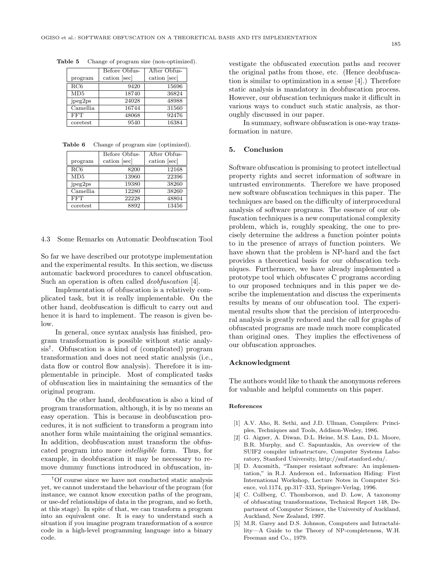|            | Before Obfus- | After Obfus- |
|------------|---------------|--------------|
| program    | cation [sec]  | cation [sec] |
| RC6        | 9420          | 15696        |
| MD5        | 18740         | 36824        |
| jpeg2ps    | 24028         | 48988        |
| Camellia   | 16744         | 31560        |
| <b>FFT</b> | 48068         | 92476        |
| coretest   | 9540          | 16384        |

**Table 5** Change of program size (non-optimized).

**Table 6** Change of program size (optimized).

|            | Before Obfus- | After Obfus- |
|------------|---------------|--------------|
| program    | cation [sec]  | cation [sec] |
| RC6        | 8200          | 12168        |
| MD5        | 13960         | 22396        |
| jpeg2ps    | 19380         | 38260        |
| Camellia   | 12280         | 38260        |
| <b>FFT</b> | 22228         | 48804        |
| coretest   | 8892          | 13456        |

4.3 Some Remarks on Automatic Deobfuscation Tool

So far we have described our prototype implementation and the experimental results. In this section, we discuss automatic backword procedures to cancel obfuscation. Such an operation is often called *deobfuscation* [4].

Implementation of obfuscation is a relatively complicated task, but it is really implementable. On the other hand, deobfuscation is difficult to carry out and hence it is hard to implement. The reason is given below.

In general, once syntax analysis has finished, program transformation is possible without static analysis†. Obfuscation is a kind of (complicated) program transformation and does not need static analysis (i.e., data flow or control flow analysis). Therefore it is implementable in principle. Most of complicated tasks of obfuscation lies in maintaining the semantics of the original program.

On the other hand, deobfuscation is also a kind of program transformation, although, it is by no means an easy operation. This is because in deobfuscation procedures, it is not sufficient to transform a program into another form while maintaining the original semantics. In addition, deobfuscation must transform the obfuscated program into more *intelligible* form. Thus, for example, in deobfuscation it may be necessary to remove dummy functions introduced in obfuscation, in-

vestigate the obfuscated execution paths and recover the original paths from those, etc. (Hence deobfuscation is similar to optimization in a sense [4].) Therefore static analysis is mandatory in deobfuscation process. However, our obfuscation techniques make it difficult in various ways to conduct such static analysis, as thoroughly discussed in our paper.

In summary, software obfuscation is one-way transformation in nature.

# **5. Conclusion**

Software obfuscation is promising to protect intellectual property rights and secret information of software in untrusted environments. Therefore we have proposed new software obfuscation techniques in this paper. The techniques are based on the difficulty of interprocedural analysis of software programs. The essence of our obfuscation techniques is a new computational complexity problem, which is, roughly speaking, the one to precisely determine the address a function pointer points to in the presence of arrays of function pointers. We have shown that the problem is NP-hard and the fact provides a theoretical basis for our obfuscation techniques. Furthermore, we have already implemented a prototype tool which obfuscates C programs according to our proposed techniques and in this paper we describe the implementation and discuss the experiments results by means of our obfuscation tool. The experimental results show that the precision of interprocedural analysis is greatly reduced and the call for graphs of obfuscated programs are made much more complicated than original ones. They implies the effectiveness of our obfuscation approaches.

#### **Acknowledgment**

The authors would like to thank the anonymous referees for valuable and helpful comments on this paper.

### **References**

- [1] A.V. Aho, R. Sethi, and J.D. Ullman, Compilers: Principles, Techniques and Tools, Addison-Wesley, 1986.
- [2] G. Aigner, A. Diwan, D.L. Heine, M.S. Lam, D.L. Moore, B.R. Murphy, and C. Sapuntzakis, An overview of the SUIF2 compiler infrastructure, Computer Systems Laboratory, Stanford University, http://suif.stanford.edu/.
- [3] D. Aucsmith, "Tamper resistant software: An implementation," in R.J. Anderson ed., Information Hiding: First International Workshop, Lecture Notes in Computer Science, vol.1174, pp.317–333, Springer-Verlag, 1996.
- [4] C. Collberg, C. Thomborson, and D. Low, A taxonomy of obfuscating transformations, Technical Report 148, Department of Computer Science, the University of Auckland, Auckland, New Zealand, 1997.
- [5] M.R. Garey and D.S. Johnson, Computers and Intractability—A Guide to the Theory of NP-completeness, W.H. Freeman and Co., 1979.

<sup>†</sup>Of course since we have not conducted static analysis yet, we cannot understand the behaviour of the program (for instance, we cannot know execution paths of the program, or use-def relationships of data in the program, and so forth, at this stage). In spite of that, we can transform a program into an equivalent one. It is easy to understand such a situation if you imagine program transformation of a source code in a high-level programming language into a binary code.